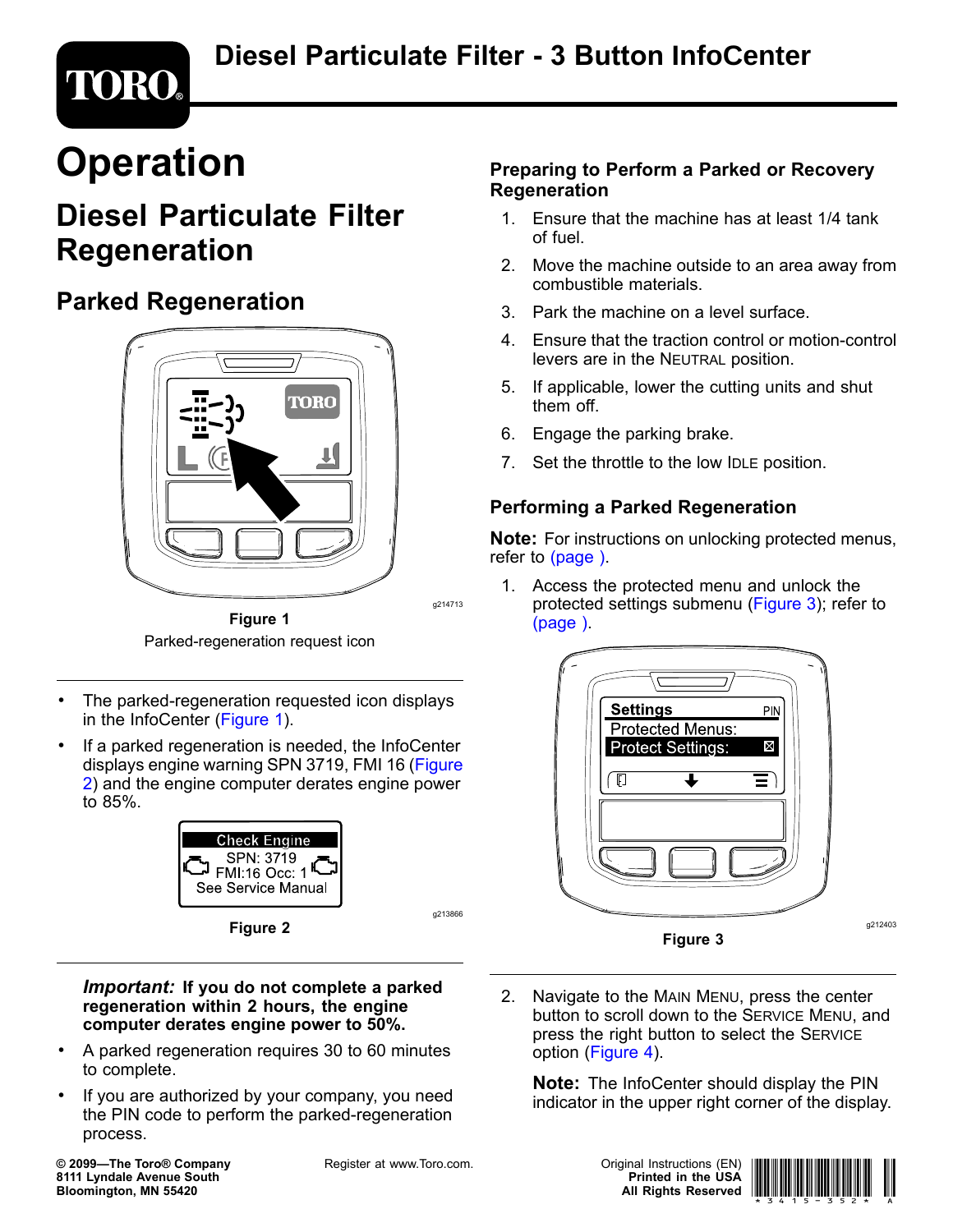# **Operation**

**TORO®** 

# **Diesel Particulate Filter Regeneration**

## **Parked Regeneration**



**Figure 1** Parked-regeneration request icon

- • The parked-regeneration requested icon displays in the InfoCenter (Figure 1).
- • If <sup>a</sup> parked regeneration is needed, the InfoCenter displays engine warning SPN 3719, FMI 16 (Figure 2) and the engine computer derates engine power to 85%.





#### *Important:* **If you do not complete <sup>a</sup> parked regeneration within 2 hours, the engine computer derates engine power to 50%.**

- • A parked regeneration requires 30 to 60 minutes to complete.
- • If you are authorized by your company, you need the PIN code to perform the parked-regeneration process.

**© 2099—The Toro® Company 8111 Lyndale Avenue South Bloomington, MN 55420**

Register at www.Toro.com. The Contract Contract Contract Original Instructions (EN)

g214713

g213866

### **Preparing to Perform <sup>a</sup> Parked or Recovery Regeneration**

- 1. Ensure that the machine has at least 1/4 tank of fuel.
- 2. Move the machine outside to an area away from combustible materials.
- 3. Park the machine on a level surface.
- 4. Ensure that the traction control or motion-control levers are in the NEUTRAL position.
- 5. If applicable, lower the cutting units and shut them off.
- 6. Engage the parking brake.
- 7. Set the throttle to the low IDLE position.

### **Performing <sup>a</sup> Parked Regeneration**

**Note:** For instructions on unlocking protected menus, refer to (page ).

1. Access the protected menu and unlock the protected settings submenu (Figure 3); refer to (page ).



2. Navigate to the MAIN MENU, press the center button to scroll down to the SERVICE MENU, and press the right button to select the SERVICE option ([Figure](#page-1-0) 4).

**Note:** The InfoCenter should display the PIN indicator in the upper right corner of the display.



g212403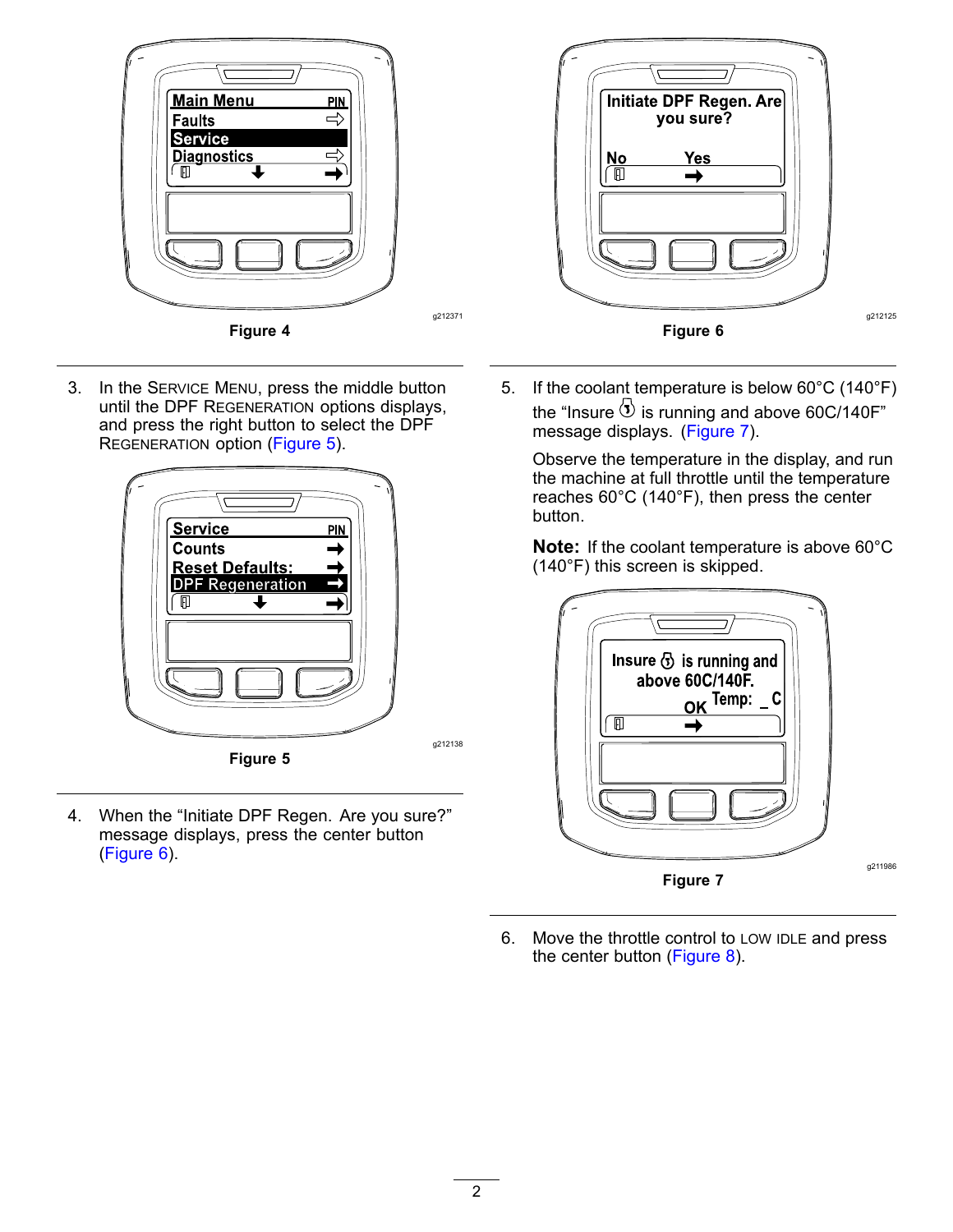<span id="page-1-0"></span>

3. In the SERVICE MENU, press the middle button until the DPF REGENERATION options displays, and press the right button to select the DPF REGENERATION option (Figure 5).



4. When the "Initiate DPF Regen. Are you sure?" message displays, press the center button (Figure 6).



5. If the coolant temperature is below 60°C (140°F) the "Insure  $\overline{3}$  is running and above 60C/140F" message displays. (Figure 7).

Observe the temperature in the display, and run the machine at full throttle until the temperature reaches 60°C (140°F), then press the center button.

**Note:** If the coolant temperature is above 60°C (140°F) this screen is skipped.



6. Move the throttle control to LOW IDLE and press the center button ([Figure](#page-2-0) 8).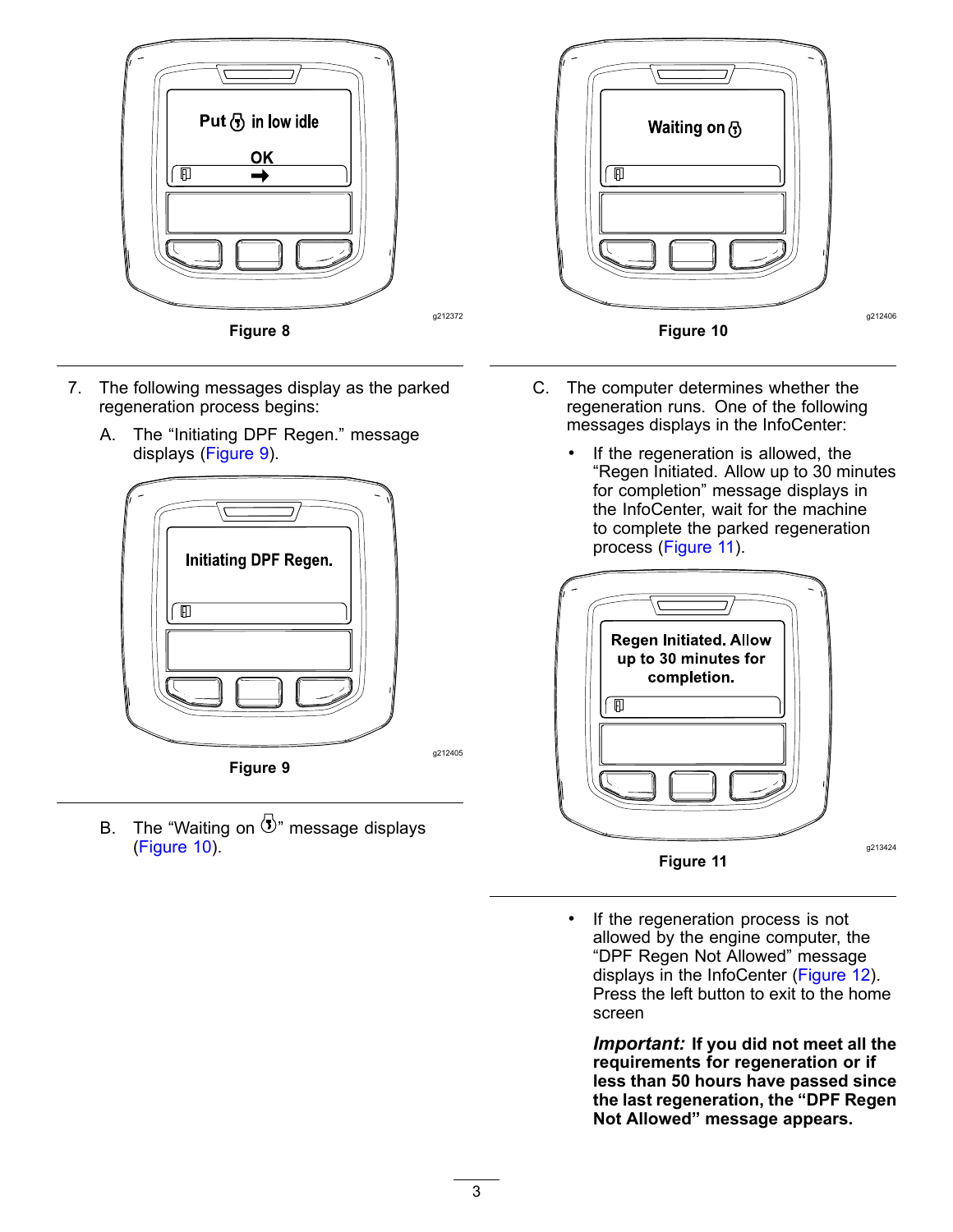<span id="page-2-0"></span>

- 7. The following messages display as the parked regeneration process begins:
	- A. The "Initiating DPF Regen." message displays (Figure 9).



B. The "Waiting on  $\overline{3}$ " message displays (Figure 10).



- C. The computer determines whether the regeneration runs. One of the following messages displays in the InfoCenter:
	- • If the regeneration is allowed, the "Regen Initiated. Allow up to 30 minutes for completion" message displays in the InfoCenter, wait for the machine to complete the parked regeneration process (Figure 11).



• If the regeneration process is not allowed by the engine computer, the "DPF Regen Not Allowed" message displays in the InfoCenter ([Figure](#page-3-0) 12). Press the left button to exit to the home screen

*Important:* **If you did not meet all the requirements for regeneration or if less than 50 hours have passed since the last regeneration, the "DPF Regen Not Allowed" message appears.**